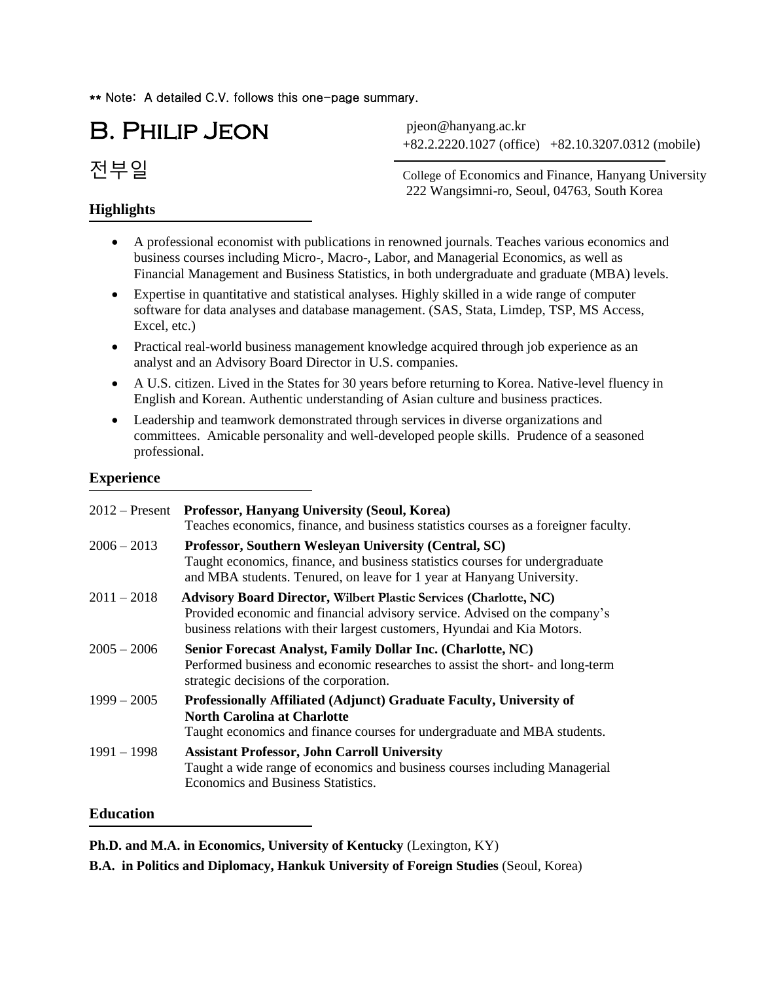\*\* Note: A detailed C.V. follows this one-page summary.

B. Philip Jeon

전부일

# **Highlights**

+82.2.2220.1027 (office) +82.10.3207.0312 (mobile) pjeon@hanyang.ac.kr

College of Economics and Finance, Hanyang University 222 Wangsimni-ro, Seoul, 04763, South Korea

- A professional economist with publications in renowned journals. Teaches various economics and business courses including Micro-, Macro-, Labor, and Managerial Economics, as well as Financial Management and Business Statistics, in both undergraduate and graduate (MBA) levels.
- Expertise in quantitative and statistical analyses. Highly skilled in a wide range of computer software for data analyses and database management. (SAS, Stata, Limdep, TSP, MS Access, Excel, etc.)
- Practical real-world business management knowledge acquired through job experience as an analyst and an Advisory Board Director in U.S. companies.
- A U.S. citizen. Lived in the States for 30 years before returning to Korea. Native-level fluency in English and Korean. Authentic understanding of Asian culture and business practices.
- Leadership and teamwork demonstrated through services in diverse organizations and committees. Amicable personality and well-developed people skills. Prudence of a seasoned professional.

### **Experience**

| $2012 -$ Present | <b>Professor, Hanyang University (Seoul, Korea)</b><br>Teaches economics, finance, and business statistics courses as a foreigner faculty.                                                                                         |
|------------------|------------------------------------------------------------------------------------------------------------------------------------------------------------------------------------------------------------------------------------|
| $2006 - 2013$    | Professor, Southern Wesleyan University (Central, SC)<br>Taught economics, finance, and business statistics courses for undergraduate<br>and MBA students. Tenured, on leave for 1 year at Hanyang University.                     |
| $2011 - 2018$    | <b>Advisory Board Director, Wilbert Plastic Services (Charlotte, NC)</b><br>Provided economic and financial advisory service. Advised on the company's<br>business relations with their largest customers, Hyundai and Kia Motors. |
| $2005 - 2006$    | Senior Forecast Analyst, Family Dollar Inc. (Charlotte, NC)<br>Performed business and economic researches to assist the short- and long-term<br>strategic decisions of the corporation.                                            |
| $1999 - 2005$    | <b>Professionally Affiliated (Adjunct) Graduate Faculty, University of</b><br><b>North Carolina at Charlotte</b><br>Taught economics and finance courses for undergraduate and MBA students.                                       |
| $1991 - 1998$    | <b>Assistant Professor, John Carroll University</b><br>Taught a wide range of economics and business courses including Managerial<br>Economics and Business Statistics.                                                            |

# **Education**

**Ph.D. and M.A. in Economics, University of Kentucky** (Lexington, KY)

**B.A. in Politics and Diplomacy, Hankuk University of Foreign Studies** (Seoul, Korea)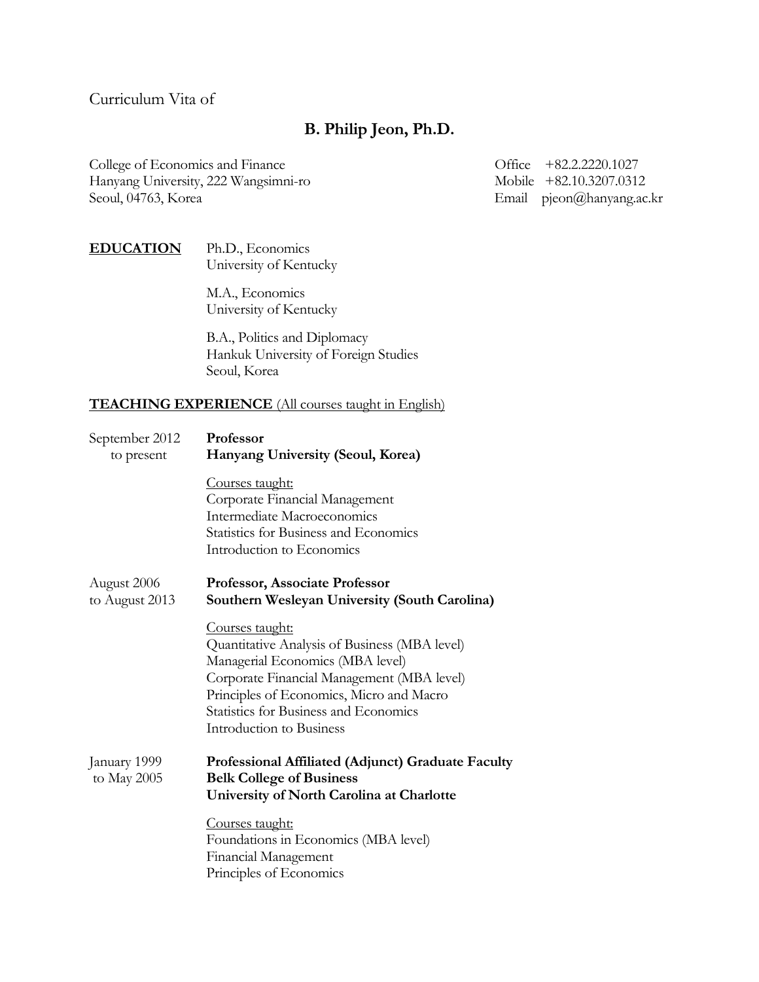Curriculum Vita of

# **B. Philip Jeon, Ph.D.**

College of Economics and Finance Office +82.2.2220.1027 Hanyang University, 222 Wangsimni-ro Mobile +82.10.3207.0312 Seoul, 04763, Korea Email pjeon@hanyang.ac.kr

# **EDUCATION** Ph.D., Economics University of Kentucky

 M.A., Economics University of Kentucky

 B.A., Politics and Diplomacy Hankuk University of Foreign Studies Seoul, Korea

# **TEACHING EXPERIENCE** (All courses taught in English)

| September 2012<br>to present  | Professor<br>Hanyang University (Seoul, Korea)                                                                                                                                                                                                                                    |
|-------------------------------|-----------------------------------------------------------------------------------------------------------------------------------------------------------------------------------------------------------------------------------------------------------------------------------|
|                               | <u>Courses taught:</u><br>Corporate Financial Management<br>Intermediate Macroeconomics<br><b>Statistics for Business and Economics</b><br>Introduction to Economics                                                                                                              |
| August 2006<br>to August 2013 | Professor, Associate Professor<br>Southern Wesleyan University (South Carolina)                                                                                                                                                                                                   |
|                               | <u>Courses taught:</u><br>Quantitative Analysis of Business (MBA level)<br>Managerial Economics (MBA level)<br>Corporate Financial Management (MBA level)<br>Principles of Economics, Micro and Macro<br><b>Statistics for Business and Economics</b><br>Introduction to Business |
| January 1999<br>to May $2005$ | Professional Affiliated (Adjunct) Graduate Faculty<br><b>Belk College of Business</b><br>University of North Carolina at Charlotte                                                                                                                                                |
|                               | <u>Courses taught:</u><br>Foundations in Economics (MBA level)<br>Financial Management<br>Principles of Economics                                                                                                                                                                 |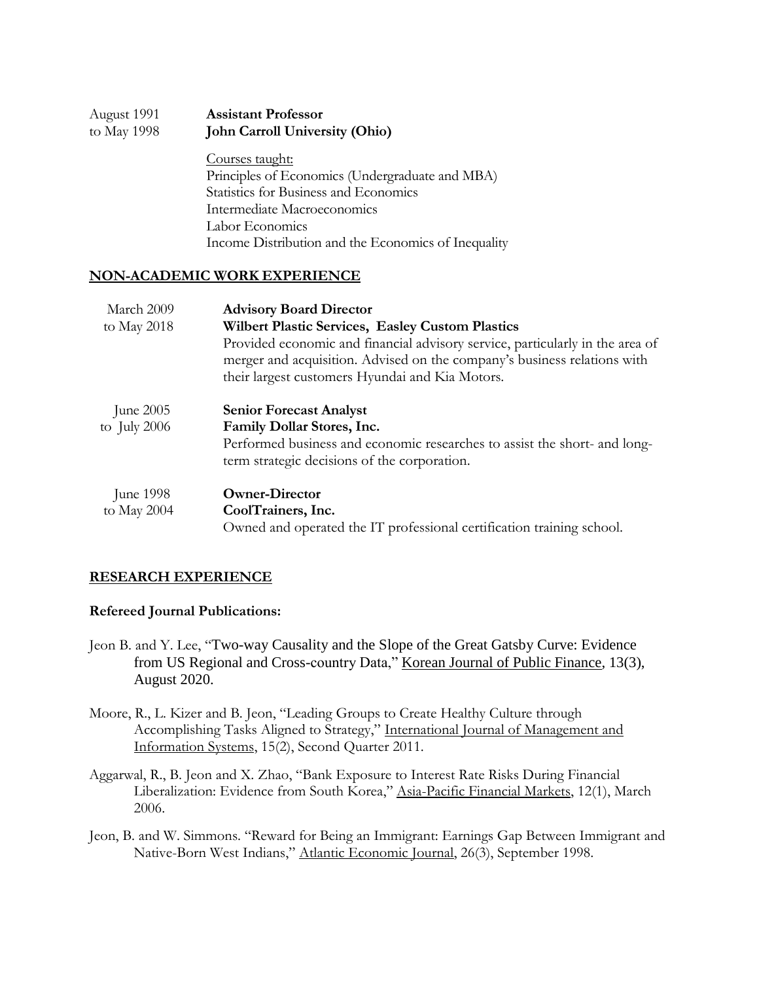| August 1991 | <b>Assistant Professor</b>            |
|-------------|---------------------------------------|
| to May 1998 | <b>John Carroll University (Ohio)</b> |

 Courses taught: Principles of Economics (Undergraduate and MBA) Statistics for Business and Economics Intermediate Macroeconomics Labor Economics Income Distribution and the Economics of Inequality

### **NON-ACADEMIC WORK EXPERIENCE**

| March 2009<br>to May 2018         | <b>Advisory Board Director</b><br>Wilbert Plastic Services, Easley Custom Plastics<br>Provided economic and financial advisory service, particularly in the area of<br>merger and acquisition. Advised on the company's business relations with<br>their largest customers Hyundai and Kia Motors. |
|-----------------------------------|----------------------------------------------------------------------------------------------------------------------------------------------------------------------------------------------------------------------------------------------------------------------------------------------------|
| June $2005$<br>to July $2006$     | <b>Senior Forecast Analyst</b><br>Family Dollar Stores, Inc.<br>Performed business and economic researches to assist the short- and long-<br>term strategic decisions of the corporation.                                                                                                          |
| <b>June 1998</b><br>to May $2004$ | <b>Owner-Director</b><br>CoolTrainers, Inc.<br>Owned and operated the IT professional certification training school.                                                                                                                                                                               |

### **RESEARCH EXPERIENCE**

### **Refereed Journal Publications:**

- Jeon B. and Y. Lee, "Two-way Causality and the Slope of the Great Gatsby Curve: Evidence from US Regional and Cross-country Data," Korean Journal of Public Finance, 13(3), August 2020.
- Moore, R., L. Kizer and B. Jeon, "Leading Groups to Create Healthy Culture through Accomplishing Tasks Aligned to Strategy," International Journal of Management and Information Systems, 15(2), Second Quarter 2011.
- Aggarwal, R., B. Jeon and X. Zhao, "Bank Exposure to Interest Rate Risks During Financial Liberalization: Evidence from South Korea," Asia-Pacific Financial Markets, 12(1), March 2006.
- Jeon, B. and W. Simmons. "Reward for Being an Immigrant: Earnings Gap Between Immigrant and Native-Born West Indians," Atlantic Economic Journal, 26(3), September 1998.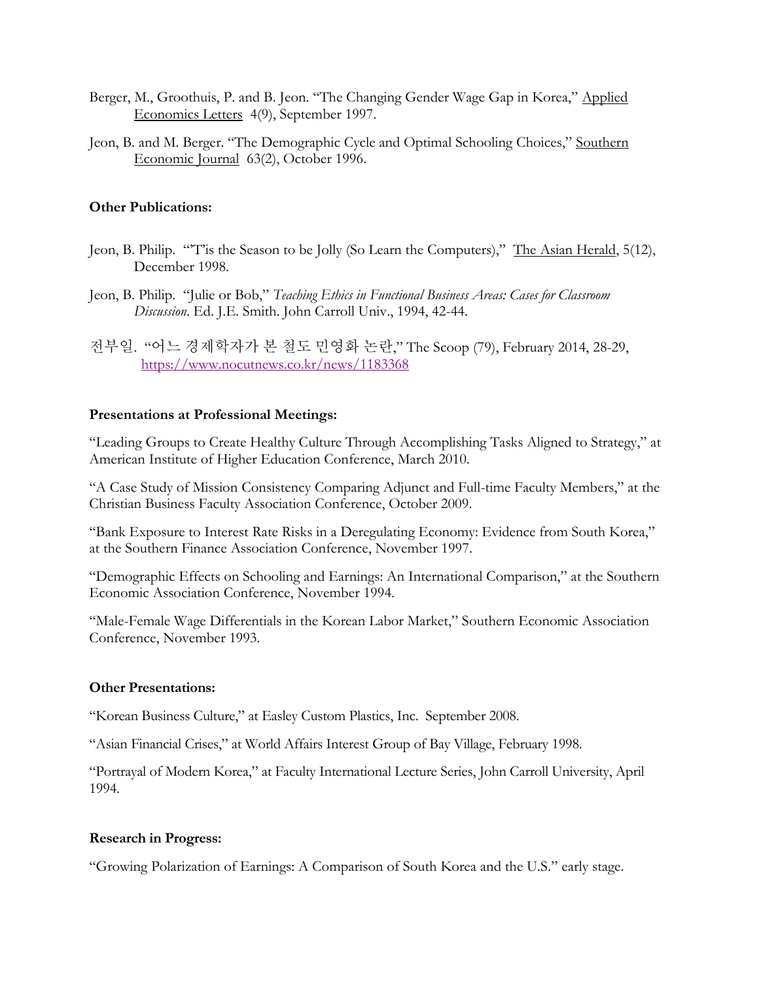- Berger, M., Groothuis, P. and B. Jeon. "The Changing Gender Wage Gap in Korea," Applied Economics Letters 4(9), September 1997.
- Jeon, B. and M. Berger. "The Demographic Cycle and Optimal Schooling Choices," Southern Economic Journal 63(2), October 1996.

### **Other Publications:**

- Jeon, B. Philip. "'T'is the Season to be Jolly (So Learn the Computers)," The Asian Herald, 5(12), December 1998.
- Jeon, B. Philip. "Julie or Bob," *Teaching Ethics in Functional Business Areas: Cases for Classroom Discussion*. Ed. J.E. Smith. John Carroll Univ., 1994, 42-44.
- 전부일. "어느 경제학자가 본 철도 민영화 논란," The Scoop (79), February 2014, 28-29, <https://www.nocutnews.co.kr/news/1183368>

#### **Presentations at Professional Meetings:**

"Leading Groups to Create Healthy Culture Through Accomplishing Tasks Aligned to Strategy," at American Institute of Higher Education Conference, March 2010.

"A Case Study of Mission Consistency Comparing Adjunct and Full-time Faculty Members," at the Christian Business Faculty Association Conference, October 2009.

"Bank Exposure to Interest Rate Risks in a Deregulating Economy: Evidence from South Korea," at the Southern Finance Association Conference, November 1997.

"Demographic Effects on Schooling and Earnings: An International Comparison," at the Southern Economic Association Conference, November 1994.

"Male-Female Wage Differentials in the Korean Labor Market," Southern Economic Association Conference, November 1993.

#### **Other Presentations:**

"Korean Business Culture," at Easley Custom Plastics, Inc. September 2008.

"Asian Financial Crises," at World Affairs Interest Group of Bay Village, February 1998.

"Portrayal of Modern Korea," at Faculty International Lecture Series, John Carroll University, April 1994.

#### **Research in Progress:**

"Growing Polarization of Earnings: A Comparison of South Korea and the U.S." early stage.